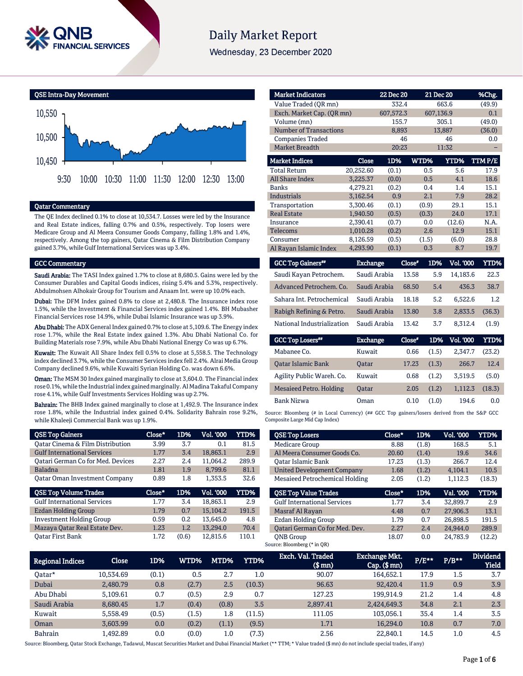

# **Daily Market Report**

Wednesday, 23 December 2020



# Qatar Commentary

The QE Index declined 0.1% to close at 10,534.7. Losses were led by the Insurance and Real Estate indices, falling 0.7% and 0.5%, respectively. Top losers were Medicare Group and Al Meera Consumer Goods Company, falling 1.8% and 1.4%, respectively. Among the top gainers, Qatar Cinema & Film Distribution Company gained 3.7%, while Gulf International Services was up 3.4%.

### GCC Commentary

Saudi Arabia: The TASI Index gained 1.7% to close at 8,680.5. Gains were led by the Consumer Durables and Capital Goods indices, rising 5.4% and 5.3%, respectively. Abdulmohsen Alhokair Group for Tourism and Anaam Int. were up 10.0% each.

Dubai: The DFM Index gained 0.8% to close at 2,480.8. The Insurance index rose 1.5%, while the Investment & Financial Services index gained 1.4%. BH Mubasher Financial Services rose 14.9%, while Dubai Islamic Insurance was up 3.9%.

Abu Dhabi: The ADX General Index gained 0.7% to close at 5,109.6. The Energy index rose 1.7%, while the Real Estate index gained 1.3%. Abu Dhabi National Co. for Building Materials rose 7.9%, while Abu Dhabi National Energy Co was up 6.7%.

Kuwait: The Kuwait All Share Index fell 0.5% to close at 5,558.5. The Technology index declined 3.7%, while the Consumer Services index fell 2.4%. Alrai Media Group Company declined 9.6%, while Kuwaiti Syrian Holding Co. was down 6.6%.

Oman: The MSM 30 Index gained marginally to close at 3,604.0. The Financial index rose 0.1%, while the Industrial index gained marginally. Al Madina Takaful Company rose 4.1%, while Gulf Investments Services Holding was up 2.7%.

Bahrain: The BHB Index gained marginally to close at 1,492.9. The Insurance index rose 1.8%, while the Industrial index gained 0.4%. Solidarity Bahrain rose 9.2%, while Khaleeji Commercial Bank was up 1.9%.

| <b>QSE Top Gainers</b>                      | Close* | 1D% | Vol. '000 | YTD%  |
|---------------------------------------------|--------|-----|-----------|-------|
| <b>Qatar Cinema &amp; Film Distribution</b> | 3.99   | 3.7 | 0.1       | 81.5  |
| <b>Gulf International Services</b>          | 1.77   | 3.4 | 18.863.1  | 2.9   |
| <b>Qatari German Co for Med. Devices</b>    | 2.27   | 2.4 | 11,064.2  | 289.9 |
| <b>Baladna</b>                              | 1.81   | 1.9 | 8.799.6   | 81.1  |
| <b>Qatar Oman Investment Company</b>        | 0.89   | 1.8 | 1.353.5   | 32.6  |
|                                             |        |     |           |       |
| <b>QSE Top Volume Trades</b>                | Close* | 1D% | Vol. '000 | YTD%  |
| <b>Gulf International Services</b>          | 1.77   | 3.4 | 18.863.1  | 2.9   |
| Ezdan Holding Group                         | 1.79   | 0.7 | 15.104.2  | 191.5 |
| <b>Investment Holding Group</b>             | 0.59   | 0.2 | 13.645.0  | 4.8   |
| Mazaya Qatar Real Estate Dev.               | 1.23   | 1.2 | 13.294.0  | 70.4  |

| <b>Market Indicators</b>      |           | 22 Dec 20 |       | 21 Dec 20 | %Chg.  |
|-------------------------------|-----------|-----------|-------|-----------|--------|
| Value Traded (OR mn)          | 332.4     |           | 663.6 | (49.9)    |        |
| Exch. Market Cap. (QR mn)     |           | 607,572.3 |       | 607,136.9 | 0.1    |
| Volume (mn)                   |           | 155.7     |       | 305.1     | (49.0) |
| <b>Number of Transactions</b> |           | 8,893     |       | 13,887    | (36.0) |
| <b>Companies Traded</b>       |           | 46        |       | 46        | 0.0    |
| <b>Market Breadth</b>         |           | 20:23     |       | 11:32     |        |
| <b>Market Indices</b>         | Close     | 1D%       | WTD%  | YTD%      | TTMP/E |
| <b>Total Return</b>           | 20,252.60 | (0.1)     | 0.5   | 5.6       | 17.9   |
| <b>All Share Index</b>        | 3,225.37  | (0.0)     | 0.5   | 4.1       | 18.6   |
| Banks                         | 4,279.21  | (0.2)     | 0.4   | 1.4       | 15.1   |
| <b>Industrials</b>            | 3,162.54  | 0.9       | 2.1   | 7.9       | 28.2   |
| Transportation                | 3.300.46  | (0.1)     | (0.9) | 29.1      | 15.1   |
| <b>Real Estate</b>            | 1,940.50  | (0.5)     | (0.3) | 24.0      | 17.1   |
| Insurance                     | 2,390.41  | (0.7)     | 0.0   | (12.6)    | N.A.   |
| <b>Telecoms</b>               | 1,010.28  | (0.2)     | 2.6   | 12.9      | 15.1   |
| Consumer                      | 8,126.59  | (0.5)     | (1.5) | (6.0)     | 28.8   |
| Al Rayan Islamic Index        | 4,293.90  | (0.1)     | 0.3   | 8.7       | 19.7   |

| <b>GCC Top Gainers**</b>   | <b>Exchange</b> | Close" | 1D% | Vol. '000 | YTD%   |
|----------------------------|-----------------|--------|-----|-----------|--------|
| Saudi Kayan Petrochem.     | Saudi Arabia    | 13.58  | 5.9 | 14.183.6  | 22.3   |
| Advanced Petrochem. Co.    | Saudi Arabia    | 68.50  | 5.4 | 436.3     | 38.7   |
| Sahara Int. Petrochemical  | Saudi Arabia    | 18.18  | 5.2 | 6.522.6   | 1.2    |
| Rabigh Refining & Petro.   | Saudi Arabia    | 13.80  | 3.8 | 2.833.5   | (36.3) |
| National Industrialization | Saudi Arabia    | 13.42  | 3.7 | 8.312.4   | (1.9)  |
|                            |                 |        |     |           |        |

| <b>GCC Top Losers**</b>   | <b>Exchange</b> | Close" |       | 1D% Vol. '000 | YTD%   |
|---------------------------|-----------------|--------|-------|---------------|--------|
| Mabanee Co.               | Kuwait          | 0.66   | (1.5) | 2.347.7       | (23.2) |
| <b>Oatar Islamic Bank</b> | <b>Oatar</b>    | 17.23  | (1.3) | 266.7         | 12.4   |
| Agility Public Wareh. Co. | Kuwait          | 0.68   | (1.2) | 3.519.5       | (5.0)  |
| Mesaieed Petro. Holding   | <b>Oatar</b>    | 2.05   | (1.2) | 1.112.3       | (18.3) |
| Bank Nizwa                | Oman            | 0.10   | (1.0) | 194.6         | 0.0    |

Source: Bloomberg (# in Local Currency) (## GCC Top gainers/losers derived from the S&P GCC Composite Large Mid Cap Index)

| <b>QSE Top Losers</b>              | Close* | 1D%   | Vol. '000 | YTD%   |
|------------------------------------|--------|-------|-----------|--------|
| Medicare Group                     | 8.88   | (1.8) | 168.5     | 5.1    |
| Al Meera Consumer Goods Co.        | 20.60  | (1.4) | 19.6      | 34.6   |
| Oatar Islamic Bank                 | 17.23  | (1.3) | 266.7     | 12.4   |
| <b>United Development Company</b>  | 1.68   | (1.2) | 4.104.1   | 10.5   |
| Mesaieed Petrochemical Holding     | 2.05   | (1.2) | 1.112.3   | (18.3) |
|                                    |        |       |           |        |
| <b>QSE Top Value Trades</b>        | Close* | 1D%   | Val. '000 | YTD%   |
| <b>Gulf International Services</b> | 1.77   | 3.4   | 32.899.7  | 2.9    |
| Masraf Al Rayan                    | 4.48   | 0.7   | 27,906.3  | 13.1   |
| Ezdan Holding Group                | 1.79   | 0.7   | 26.898.5  | 191.5  |
| Oatari German Co for Med. Dev.     | 2.27   | 2.4   | 24.944.0  | 289.9  |

| <b>Regional Indices</b> | Close     | 1D%   | WTD%' | MTD%    | <b>YTD%</b> | Exch. Val. Traded<br>$$$ mm $)$ | <b>Exchange Mkt.</b><br>$Cap.$ $(\$$ mn) | P/E** | $P/B**$ | <b>Dividend</b><br><b>Yield</b> |
|-------------------------|-----------|-------|-------|---------|-------------|---------------------------------|------------------------------------------|-------|---------|---------------------------------|
| Oatar*                  | 10.534.69 | (0.1) | 0.5   | 2.7     | 1.0         | 90.07                           | 164,652.1                                | 17.9  | 1.5     | 3.7                             |
| Dubai                   | 2.480.79  | 0.8   | (2.7) | 2.5     | (10.3)      | 96.63                           | 92.420.4                                 | 11.9  | 0.9     | 3.9                             |
| Abu Dhabi               | 5.109.61  | 0.7   | (0.5) | 2.9     | 0.7         | 127.23                          | 199.914.9                                | 21.2  | 1.4     | 4.8                             |
| Saudi Arabia            | 8.680.45  | 1.7   | (0.4) | (0.8)   | 3.5         | 2.897.41                        | 2,424,649.3                              | 34.8  | 2.1     | 2.3                             |
| Kuwait                  | 5.558.49  | (0.5) | (1.5) | 1.8     | (11.5)      | 111.05                          | 103.056.1                                | 35.4  | 1.4     | 3.5                             |
| Oman                    | 3.603.99  | 0.0   | (0.2) | (1.1)   | (9.5)       | 1.71                            | 16.294.0                                 | 10.8  | 0.7     | 7.0                             |
| <b>Bahrain</b>          | L.492.89  | 0.0   | (0.0) | $1.0\,$ | (7.3)       | 2.56                            | 22,840.1                                 | 14.5  | 1.0     | 4.5                             |

Source: Bloomberg, Qatar Stock Exchange, Tadawul, Muscat Securities Market and Dubai Financial Market (\*\* TTM; \* Value traded (\$ mn) do not include special trades, if any)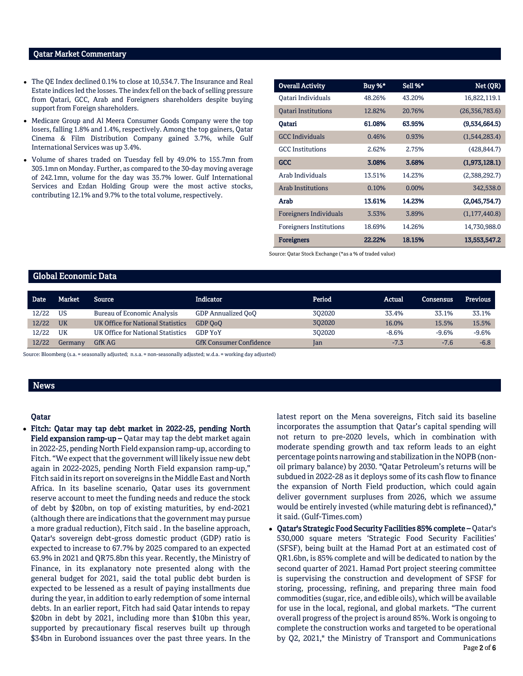# Qatar Market Commentary

- The QE Index declined 0.1% to close at 10,534.7. The Insurance and Real Estate indices led the losses. The index fell on the back of selling pressure from Qatari, GCC, Arab and Foreigners shareholders despite buying support from Foreign shareholders.
- Medicare Group and Al Meera Consumer Goods Company were the top losers, falling 1.8% and 1.4%, respectively. Among the top gainers, Qatar Cinema & Film Distribution Company gained 3.7%, while Gulf International Services was up 3.4%.
- Volume of shares traded on Tuesday fell by 49.0% to 155.7mn from 305.1mn on Monday. Further, as compared to the 30-day moving average of 242.1mn, volume for the day was 35.7% lower. Gulf International Services and Ezdan Holding Group were the most active stocks, contributing 12.1% and 9.7% to the total volume, respectively.

| <b>Overall Activity</b>        | Buy %* | Sell %*  | Net (QR)        |
|--------------------------------|--------|----------|-----------------|
| Oatari Individuals             | 48.26% | 43.20%   | 16,822,119.1    |
| <b>Oatari Institutions</b>     | 12.82% | 20.76%   | (26,356,783.6)  |
| Oatari                         | 61.08% | 63.95%   | (9,534,664.5)   |
| <b>GCC</b> Individuals         | 0.46%  | 0.93%    | (1,544,283.4)   |
| <b>GCC</b> Institutions        | 2.62%  | 2.75%    | (428, 844.7)    |
| GCC                            | 3.08%  | 3.68%    | (1,973,128.1)   |
| Arab Individuals               | 13.51% | 14.23%   | (2,388,292.7)   |
| <b>Arab Institutions</b>       | 0.10%  | $0.00\%$ | 342,538.0       |
| Arab                           | 13.61% | 14.23%   | (2,045,754.7)   |
| <b>Foreigners Individuals</b>  | 3.53%  | 3.89%    | (1, 177, 440.8) |
| <b>Foreigners Institutions</b> | 18.69% | 14.26%   | 14,730,988.0    |
| <b>Foreigners</b>              | 22.22% | 18.15%   | 13,553,547.2    |

Source: Qatar Stock Exchange (\*as a % of traded value)

# Global Economic Data

| Date  | <b>Market</b> | Source                             | <b>Indicator</b>               | Period | Actual  | Consensus | <b>Previous</b> |
|-------|---------------|------------------------------------|--------------------------------|--------|---------|-----------|-----------------|
| 12/22 | US            | <b>Bureau of Economic Analysis</b> | GDP Annualized OoO             | 302020 | 33.4%   | 33.1%     | 33.1%           |
| 12/22 | <b>UK</b>     | UK Office for National Statistics  | GDP OoO                        | 302020 | 16.0%   | 15.5%     | 15.5%           |
| 12/22 | UK            | UK Office for National Statistics  | <b>GDP YoY</b>                 | 302020 | $-8.6%$ | $-9.6%$   | $-9.6%$         |
| 12/22 | Germanv       | <b>GfK AG</b>                      | <b>GfK Consumer Confidence</b> | Jan    | $-7.3$  | $-7.6$    | $-6.8$          |

Source: Bloomberg (s.a. = seasonally adjusted; n.s.a. = non-seasonally adjusted; w.d.a. = working day adjusted)

# News

# Qatar

 Fitch: Qatar may tap debt market in 2022-25, pending North Field expansion ramp-up – Qatar may tap the debt market again in 2022-25, pending North Field expansion ramp-up, according to Fitch. "We expect that the government will likely issue new debt again in 2022-2025, pending North Field expansion ramp-up," Fitch said in its report on sovereigns in the Middle East and North Africa. In its baseline scenario, Qatar uses its government reserve account to meet the funding needs and reduce the stock of debt by \$20bn, on top of existing maturities, by end-2021 (although there are indications that the government may pursue a more gradual reduction), Fitch said . In the baseline approach, Qatar's sovereign debt-gross domestic product (GDP) ratio is expected to increase to 67.7% by 2025 compared to an expected 63.9% in 2021 and QR75.8bn this year. Recently, the Ministry of Finance, in its explanatory note presented along with the general budget for 2021, said the total public debt burden is expected to be lessened as a result of paying installments due during the year, in addition to early redemption of some internal debts. In an earlier report, Fitch had said Qatar intends to repay \$20bn in debt by 2021, including more than \$10bn this year, supported by precautionary fiscal reserves built up through \$34bn in Eurobond issuances over the past three years. In the

latest report on the Mena sovereigns, Fitch said its baseline incorporates the assumption that Qatar's capital spending will not return to pre-2020 levels, which in combination with moderate spending growth and tax reform leads to an eight percentage points narrowing and stabilization in the NOPB (nonoil primary balance) by 2030. "Qatar Petroleum's returns will be subdued in 2022-28 as it deploys some of its cash flow to finance the expansion of North Field production, which could again deliver government surpluses from 2026, which we assume would be entirely invested (while maturing debt is refinanced)," it said. (Gulf-Times.com)

Page 2 of 6 Qatar's Strategic Food Security Facilities 85% complete – Qatar's 530,000 square meters 'Strategic Food Security Facilities' (SFSF), being built at the Hamad Port at an estimated cost of QR1.6bn, is 85% complete and will be dedicated to nation by the second quarter of 2021. Hamad Port project steering committee is supervising the construction and development of SFSF for storing, processing, refining, and preparing three main food commodities (sugar, rice, and edible oils), which will be available for use in the local, regional, and global markets. "The current overall progress of the project is around 85%. Work is ongoing to complete the construction works and targeted to be operational by Q2, 2021," the Ministry of Transport and Communications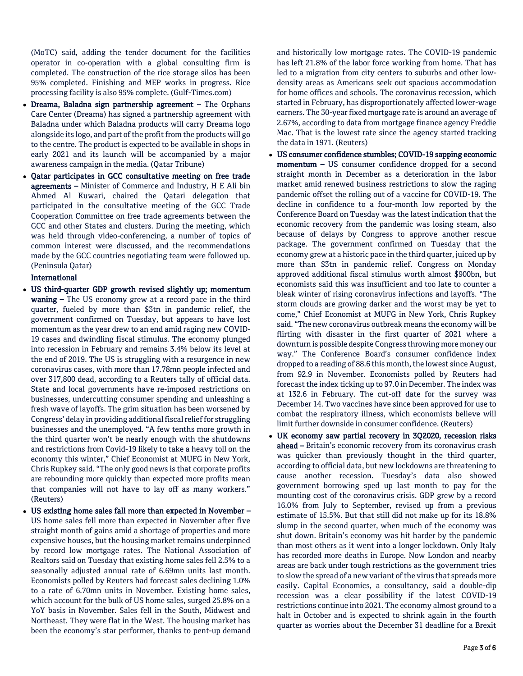(MoTC) said, adding the tender document for the facilities operator in co-operation with a global consulting firm is completed. The construction of the rice storage silos has been 95% completed. Finishing and MEP works in progress. Rice processing facility is also 95% complete. (Gulf-Times.com)

- Dreama, Baladna sign partnership agreement The Orphans Care Center (Dreama) has signed a partnership agreement with Baladna under which Baladna products will carry Dreama logo alongside its logo, and part of the profit from the products will go to the centre. The product is expected to be available in shops in early 2021 and its launch will be accompanied by a major awareness campaign in the media. (Qatar Tribune)
- Qatar participates in GCC consultative meeting on free trade agreements – Minister of Commerce and Industry, H E Ali bin Ahmed Al Kuwari, chaired the Qatari delegation that participated in the consultative meeting of the GCC Trade Cooperation Committee on free trade agreements between the GCC and other States and clusters. During the meeting, which was held through video-conferencing, a number of topics of common interest were discussed, and the recommendations made by the GCC countries negotiating team were followed up. (Peninsula Qatar)

# International

- US third-quarter GDP growth revised slightly up; momentum waning – The US economy grew at a record pace in the third quarter, fueled by more than \$3tn in pandemic relief, the government confirmed on Tuesday, but appears to have lost momentum as the year drew to an end amid raging new COVID-19 cases and dwindling fiscal stimulus. The economy plunged into recession in February and remains 3.4% below its level at the end of 2019. The US is struggling with a resurgence in new coronavirus cases, with more than 17.78mn people infected and over 317,800 dead, according to a Reuters tally of official data. State and local governments have re-imposed restrictions on businesses, undercutting consumer spending and unleashing a fresh wave of layoffs. The grim situation has been worsened by Congress' delay in providing additional fiscal relief for struggling businesses and the unemployed. "A few tenths more growth in the third quarter won't be nearly enough with the shutdowns and restrictions from Covid-19 likely to take a heavy toll on the economy this winter," Chief Economist at MUFG in New York, Chris Rupkey said. "The only good news is that corporate profits are rebounding more quickly than expected more profits mean that companies will not have to lay off as many workers." (Reuters)
- US existing home sales fall more than expected in November US home sales fell more than expected in November after five straight month of gains amid a shortage of properties and more expensive houses, but the housing market remains underpinned by record low mortgage rates. The National Association of Realtors said on Tuesday that existing home sales fell 2.5% to a seasonally adjusted annual rate of 6.69mn units last month. Economists polled by Reuters had forecast sales declining 1.0% to a rate of 6.70mn units in November. Existing home sales, which account for the bulk of US home sales, surged 25.8% on a YoY basis in November. Sales fell in the South, Midwest and Northeast. They were flat in the West. The housing market has been the economy's star performer, thanks to pent-up demand

and historically low mortgage rates. The COVID-19 pandemic has left 21.8% of the labor force working from home. That has led to a migration from city centers to suburbs and other lowdensity areas as Americans seek out spacious accommodation for home offices and schools. The coronavirus recession, which started in February, has disproportionately affected lower-wage earners. The 30-year fixed mortgage rate is around an average of 2.67%, according to data from mortgage finance agency Freddie Mac. That is the lowest rate since the agency started tracking the data in 1971. (Reuters)

- US consumer confidence stumbles; COVID-19 sapping economic momentum – US consumer confidence dropped for a second straight month in December as a deterioration in the labor market amid renewed business restrictions to slow the raging pandemic offset the rolling out of a vaccine for COVID-19. The decline in confidence to a four-month low reported by the Conference Board on Tuesday was the latest indication that the economic recovery from the pandemic was losing steam, also because of delays by Congress to approve another rescue package. The government confirmed on Tuesday that the economy grew at a historic pace in the third quarter, juiced up by more than \$3tn in pandemic relief. Congress on Monday approved additional fiscal stimulus worth almost \$900bn, but economists said this was insufficient and too late to counter a bleak winter of rising coronavirus infections and layoffs. "The storm clouds are growing darker and the worst may be yet to come," Chief Economist at MUFG in New York, Chris Rupkey said. "The new coronavirus outbreak means the economy will be flirting with disaster in the first quarter of 2021 where a downturn is possible despite Congress throwing more money our way." The Conference Board's consumer confidence index dropped to a reading of 88.6 this month, the lowest since August, from 92.9 in November. Economists polled by Reuters had forecast the index ticking up to 97.0 in December. The index was at 132.6 in February. The cut-off date for the survey was December 14. Two vaccines have since been approved for use to combat the respiratory illness, which economists believe will limit further downside in consumer confidence. (Reuters)
- UK economy saw partial recovery in 3Q2020, recession risks ahead – Britain's economic recovery from its coronavirus crash was quicker than previously thought in the third quarter, according to official data, but new lockdowns are threatening to cause another recession. Tuesday's data also showed government borrowing sped up last month to pay for the mounting cost of the coronavirus crisis. GDP grew by a record 16.0% from July to September, revised up from a previous estimate of 15.5%. But that still did not make up for its 18.8% slump in the second quarter, when much of the economy was shut down. Britain's economy was hit harder by the pandemic than most others as it went into a longer lockdown. Only Italy has recorded more deaths in Europe. Now London and nearby areas are back under tough restrictions as the government tries to slow the spread of a new variant of the virus that spreads more easily. Capital Economics, a consultancy, said a double-dip recession was a clear possibility if the latest COVID-19 restrictions continue into 2021. The economy almost ground to a halt in October and is expected to shrink again in the fourth quarter as worries about the December 31 deadline for a Brexit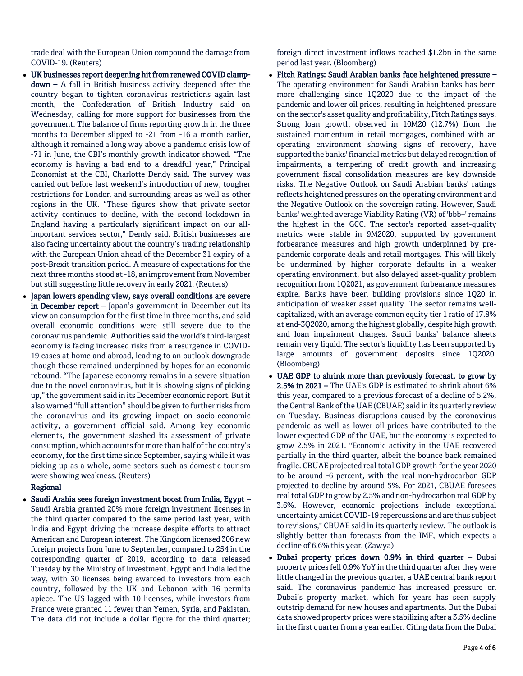trade deal with the European Union compound the damage from COVID-19. (Reuters)

- UK businesses report deepening hit from renewed COVID clampdown – A fall in British business activity deepened after the country began to tighten coronavirus restrictions again last month, the Confederation of British Industry said on Wednesday, calling for more support for businesses from the government. The balance of firms reporting growth in the three months to December slipped to -21 from -16 a month earlier, although it remained a long way above a pandemic crisis low of -71 in June, the CBI's monthly growth indicator showed. "The economy is having a bad end to a dreadful year," Principal Economist at the CBI, Charlotte Dendy said. The survey was carried out before last weekend's introduction of new, tougher restrictions for London and surrounding areas as well as other regions in the UK. "These figures show that private sector activity continues to decline, with the second lockdown in England having a particularly significant impact on our allimportant services sector," Dendy said. British businesses are also facing uncertainty about the country's trading relationship with the European Union ahead of the December 31 expiry of a post-Brexit transition period. A measure of expectations for the next three months stood at -18, an improvement from November but still suggesting little recovery in early 2021. (Reuters)
- Japan lowers spending view, says overall conditions are severe in December report – Japan's government in December cut its view on consumption for the first time in three months, and said overall economic conditions were still severe due to the coronavirus pandemic. Authorities said the world's third-largest economy is facing increased risks from a resurgence in COVID-19 cases at home and abroad, leading to an outlook downgrade though those remained underpinned by hopes for an economic rebound. "The Japanese economy remains in a severe situation due to the novel coronavirus, but it is showing signs of picking up," the government said in its December economic report. But it also warned "full attention" should be given to further risks from the coronavirus and its growing impact on socio-economic activity, a government official said. Among key economic elements, the government slashed its assessment of private consumption, which accounts for more than half of the country's economy, for the first time since September, saying while it was picking up as a whole, some sectors such as domestic tourism were showing weakness. (Reuters)

# Regional

• Saudi Arabia sees foreign investment boost from India, Egypt – Saudi Arabia granted 20% more foreign investment licenses in the third quarter compared to the same period last year, with India and Egypt driving the increase despite efforts to attract American and European interest. The Kingdom licensed 306 new foreign projects from June to September, compared to 254 in the corresponding quarter of 2019, according to data released Tuesday by the Ministry of Investment. Egypt and India led the way, with 30 licenses being awarded to investors from each country, followed by the UK and Lebanon with 16 permits apiece. The US lagged with 10 licenses, while investors from France were granted 11 fewer than Yemen, Syria, and Pakistan. The data did not include a dollar figure for the third quarter;

foreign direct investment inflows reached \$1.2bn in the same period last year. (Bloomberg)

- Fitch Ratings: Saudi Arabian banks face heightened pressure The operating environment for Saudi Arabian banks has been more challenging since 1Q2020 due to the impact of the pandemic and lower oil prices, resulting in heightened pressure on the sector's asset quality and profitability, Fitch Ratings says. Strong loan growth observed in 10M20 (12.7%) from the sustained momentum in retail mortgages, combined with an operating environment showing signs of recovery, have supported the banks' financial metrics but delayed recognition of impairments, a tempering of credit growth and increasing government fiscal consolidation measures are key downside risks. The Negative Outlook on Saudi Arabian banks' ratings reflects heightened pressures on the operating environment and the Negative Outlook on the sovereign rating. However, Saudi banks' weighted average Viability Rating (VR) of 'bbb+' remains the highest in the GCC. The sector's reported asset-quality metrics were stable in 9M2020, supported by government forbearance measures and high growth underpinned by prepandemic corporate deals and retail mortgages. This will likely be undermined by higher corporate defaults in a weaker operating environment, but also delayed asset-quality problem recognition from 1Q2021, as government forbearance measures expire. Banks have been building provisions since 1Q20 in anticipation of weaker asset quality. The sector remains wellcapitalized, with an average common equity tier 1 ratio of 17.8% at end-3Q2020, among the highest globally, despite high growth and loan impairment charges. Saudi banks' balance sheets remain very liquid. The sector's liquidity has been supported by large amounts of government deposits since 1Q2020. (Bloomberg)
- UAE GDP to shrink more than previously forecast, to grow by 2.5% in 2021 – The UAE's GDP is estimated to shrink about 6% this year, compared to a previous forecast of a decline of 5.2%, the Central Bank of the UAE (CBUAE) said in its quarterly review on Tuesday. Business disruptions caused by the coronavirus pandemic as well as lower oil prices have contributed to the lower expected GDP of the UAE, but the economy is expected to grow 2.5% in 2021. "Economic activity in the UAE recovered partially in the third quarter, albeit the bounce back remained fragile. CBUAE projected real total GDP growth for the year 2020 to be around -6 percent, with the real non-hydrocarbon GDP projected to decline by around 5%. For 2021, CBUAE foresees real total GDP to grow by 2.5% and non-hydrocarbon real GDP by 3.6%. However, economic projections include exceptional uncertainty amidst COVID-19 repercussions and are thus subject to revisions," CBUAE said in its quarterly review. The outlook is slightly better than forecasts from the IMF, which expects a decline of 6.6% this year. (Zawya)
- Dubai property prices down 0.9% in third quarter Dubai property prices fell 0.9% YoY in the third quarter after they were little changed in the previous quarter, a UAE central bank report said. The coronavirus pandemic has increased pressure on Dubai's property market, which for years has seen supply outstrip demand for new houses and apartments. But the Dubai data showed property prices were stabilizing after a 3.5% decline in the first quarter from a year earlier. Citing data from the Dubai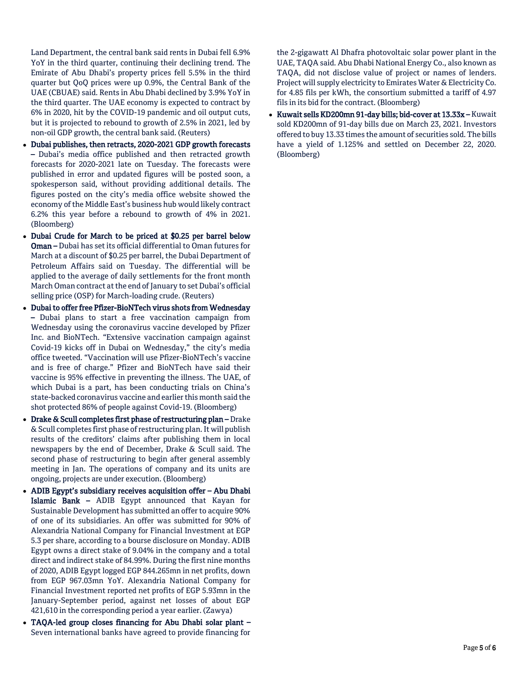Land Department, the central bank said rents in Dubai fell 6.9% YoY in the third quarter, continuing their declining trend. The Emirate of Abu Dhabi's property prices fell 5.5% in the third quarter but QoQ prices were up 0.9%, the Central Bank of the UAE (CBUAE) said. Rents in Abu Dhabi declined by 3.9% YoY in the third quarter. The UAE economy is expected to contract by 6% in 2020, hit by the COVID-19 pandemic and oil output cuts, but it is projected to rebound to growth of 2.5% in 2021, led by non-oil GDP growth, the central bank said. (Reuters)

- Dubai publishes, then retracts, 2020-2021 GDP growth forecasts – Dubai's media office published and then retracted growth forecasts for 2020-2021 late on Tuesday. The forecasts were published in error and updated figures will be posted soon, a spokesperson said, without providing additional details. The figures posted on the city's media office website showed the economy of the Middle East's business hub would likely contract 6.2% this year before a rebound to growth of 4% in 2021. (Bloomberg)
- Dubai Crude for March to be priced at \$0.25 per barrel below Oman – Dubai has set its official differential to Oman futures for March at a discount of \$0.25 per barrel, the Dubai Department of Petroleum Affairs said on Tuesday. The differential will be applied to the average of daily settlements for the front month March Oman contract at the end of January to set Dubai's official selling price (OSP) for March-loading crude. (Reuters)
- Dubai to offer free Pfizer-BioNTech virus shots from Wednesday – Dubai plans to start a free vaccination campaign from Wednesday using the coronavirus vaccine developed by Pfizer Inc. and BioNTech. "Extensive vaccination campaign against Covid-19 kicks off in Dubai on Wednesday," the city's media office tweeted. "Vaccination will use Pfizer-BioNTech's vaccine and is free of charge." Pfizer and BioNTech have said their vaccine is 95% effective in preventing the illness. The UAE, of which Dubai is a part, has been conducting trials on China's state-backed coronavirus vaccine and earlier this month said the shot protected 86% of people against Covid-19. (Bloomberg)
- Drake & Scull completes first phase of restructuring plan Drake & Scull completes first phase of restructuring plan. It will publish results of the creditors' claims after publishing them in local newspapers by the end of December, Drake & Scull said. The second phase of restructuring to begin after general assembly meeting in Jan. The operations of company and its units are ongoing, projects are under execution. (Bloomberg)
- ADIB Egypt's subsidiary receives acquisition offer Abu Dhabi Islamic Bank – ADIB Egypt announced that Kayan for Sustainable Development has submitted an offer to acquire 90% of one of its subsidiaries. An offer was submitted for 90% of Alexandria National Company for Financial Investment at EGP 5.3 per share, according to a bourse disclosure on Monday. ADIB Egypt owns a direct stake of 9.04% in the company and a total direct and indirect stake of 84.99%. During the first nine months of 2020, ADIB Egypt logged EGP 844.265mn in net profits, down from EGP 967.03mn YoY. Alexandria National Company for Financial Investment reported net profits of EGP 5.93mn in the January-September period, against net losses of about EGP 421,610 in the corresponding period a year earlier. (Zawya)
- TAQA-led group closes financing for Abu Dhabi solar plant Seven international banks have agreed to provide financing for

the 2-gigawatt Al Dhafra photovoltaic solar power plant in the UAE, TAQA said. Abu Dhabi National Energy Co., also known as TAQA, did not disclose value of project or names of lenders. Project will supply electricity to Emirates Water & Electricity Co. for 4.85 fils per kWh, the consortium submitted a tariff of 4.97 fils in its bid for the contract. (Bloomberg)

 Kuwait sells KD200mn 91-day bills; bid-cover at 13.33x – Kuwait sold KD200mn of 91-day bills due on March 23, 2021. Investors offered to buy 13.33 times the amount of securities sold. The bills have a yield of 1.125% and settled on December 22, 2020. (Bloomberg)